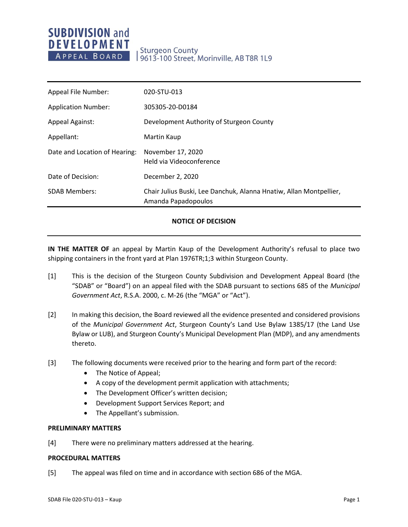# **SUBDIVISION and DEVELOPMENT** APPEAL BOARD

# **Sturgeon County** 9613-100 Street, Morinville, AB T8R 1L9

| Appeal File Number:           | 020-STU-013                                                                               |
|-------------------------------|-------------------------------------------------------------------------------------------|
| <b>Application Number:</b>    | 305305-20-D0184                                                                           |
| <b>Appeal Against:</b>        | Development Authority of Sturgeon County                                                  |
| Appellant:                    | Martin Kaup                                                                               |
| Date and Location of Hearing: | November 17, 2020<br>Held via Videoconference                                             |
| Date of Decision:             | December 2, 2020                                                                          |
| <b>SDAB Members:</b>          | Chair Julius Buski, Lee Danchuk, Alanna Hnatiw, Allan Montpellier,<br>Amanda Papadopoulos |

## **NOTICE OF DECISION**

**IN THE MATTER OF** an appeal by Martin Kaup of the Development Authority's refusal to place two shipping containers in the front yard at Plan 1976TR;1;3 within Sturgeon County.

- [1] This is the decision of the Sturgeon County Subdivision and Development Appeal Board (the "SDAB" or "Board") on an appeal filed with the SDAB pursuant to sections 685 of the *Municipal Government Act*, R.S.A. 2000, c. M-26 (the "MGA" or "Act").
- [2] In making this decision, the Board reviewed all the evidence presented and considered provisions of the *Municipal Government Act*, Sturgeon County's Land Use Bylaw 1385/17 (the Land Use Bylaw or LUB), and Sturgeon County's Municipal Development Plan (MDP), and any amendments thereto.
- [3] The following documents were received prior to the hearing and form part of the record:
	- The Notice of Appeal;
	- A copy of the development permit application with attachments;
	- The Development Officer's written decision;
	- Development Support Services Report; and
	- The Appellant's submission.

#### **PRELIMINARY MATTERS**

[4] There were no preliminary matters addressed at the hearing.

#### **PROCEDURAL MATTERS**

[5] The appeal was filed on time and in accordance with section 686 of the MGA.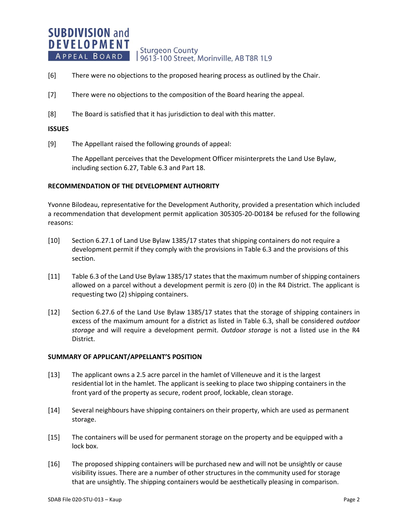#### **SUBDIVISION and DEVELOPMENT Sturgeon County** APPEAL BOARD 19613-100 Street, Morinville, AB T8R 1L9

- [6] There were no objections to the proposed hearing process as outlined by the Chair.
- [7] There were no objections to the composition of the Board hearing the appeal.
- [8] The Board is satisfied that it has jurisdiction to deal with this matter.

### **ISSUES**

[9] The Appellant raised the following grounds of appeal:

The Appellant perceives that the Development Officer misinterprets the Land Use Bylaw, including section 6.27, Table 6.3 and Part 18.

### **RECOMMENDATION OF THE DEVELOPMENT AUTHORITY**

Yvonne Bilodeau, representative for the Development Authority, provided a presentation which included a recommendation that development permit application 305305-20-D0184 be refused for the following reasons:

- [10] Section 6.27.1 of Land Use Bylaw 1385/17 states that shipping containers do not require a development permit if they comply with the provisions in Table 6.3 and the provisions of this section.
- [11] Table 6.3 of the Land Use Bylaw 1385/17 states that the maximum number of shipping containers allowed on a parcel without a development permit is zero (0) in the R4 District. The applicant is requesting two (2) shipping containers.
- [12] Section 6.27.6 of the Land Use Bylaw 1385/17 states that the storage of shipping containers in excess of the maximum amount for a district as listed in Table 6.3, shall be considered *outdoor storage* and will require a development permit. *Outdoor storage* is not a listed use in the R4 District.

## **SUMMARY OF APPLICANT/APPELLANT'S POSITION**

- [13] The applicant owns a 2.5 acre parcel in the hamlet of Villeneuve and it is the largest residential lot in the hamlet. The applicant is seeking to place two shipping containers in the front yard of the property as secure, rodent proof, lockable, clean storage.
- [14] Several neighbours have shipping containers on their property, which are used as permanent storage.
- [15] The containers will be used for permanent storage on the property and be equipped with a lock box.
- [16] The proposed shipping containers will be purchased new and will not be unsightly or cause visibility issues. There are a number of other structures in the community used for storage that are unsightly. The shipping containers would be aesthetically pleasing in comparison.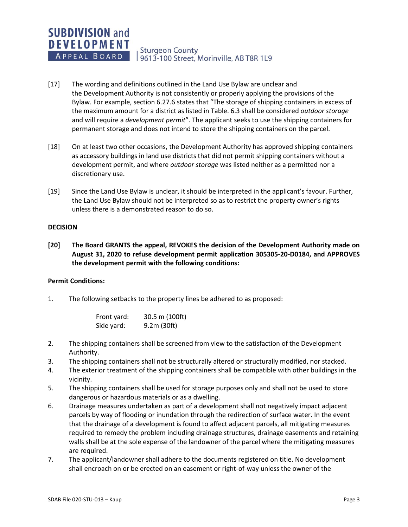# **SUBDIVISION and DEVELOPMENT** APPEAL BOARD

**Sturgeon County** 9613-100 Street, Morinville, AB T8R 1L9

- [17] The wording and definitions outlined in the Land Use Bylaw are unclear and the Development Authority is not consistently or properly applying the provisions of the Bylaw. For example, section 6.27.6 states that "The storage of shipping containers in excess of the maximum amount for a district as listed in Table. 6.3 shall be considered *outdoor storage* and will require a *development permit*". The applicant seeks to use the shipping containers for permanent storage and does not intend to store the shipping containers on the parcel.
- [18] On at least two other occasions, the Development Authority has approved shipping containers as accessory buildings in land use districts that did not permit shipping containers without a development permit, and where *outdoor storage* was listed neither as a permitted nor a discretionary use.
- [19] Since the Land Use Bylaw is unclear, it should be interpreted in the applicant's favour. Further, the Land Use Bylaw should not be interpreted so as to restrict the property owner's rights unless there is a demonstrated reason to do so.

### **DECISION**

**[20] The Board GRANTS the appeal, REVOKES the decision of the Development Authority made on August 31, 2020 to refuse development permit application 305305-20-D0184, and APPROVES the development permit with the following conditions:**

## **Permit Conditions:**

1. The following setbacks to the property lines be adhered to as proposed:

| Front yard: | 30.5 m (100ft) |
|-------------|----------------|
| Side yard:  | 9.2m (30ft)    |

- 2. The shipping containers shall be screened from view to the satisfaction of the Development Authority.
- 3. The shipping containers shall not be structurally altered or structurally modified, nor stacked.
- 4. The exterior treatment of the shipping containers shall be compatible with other buildings in the vicinity.
- 5. The shipping containers shall be used for storage purposes only and shall not be used to store dangerous or hazardous materials or as a dwelling.
- 6. Drainage measures undertaken as part of a development shall not negatively impact adjacent parcels by way of flooding or inundation through the redirection of surface water. In the event that the drainage of a development is found to affect adjacent parcels, all mitigating measures required to remedy the problem including drainage structures, drainage easements and retaining walls shall be at the sole expense of the landowner of the parcel where the mitigating measures are required.
- 7. The applicant/landowner shall adhere to the documents registered on title. No development shall encroach on or be erected on an easement or right-of-way unless the owner of the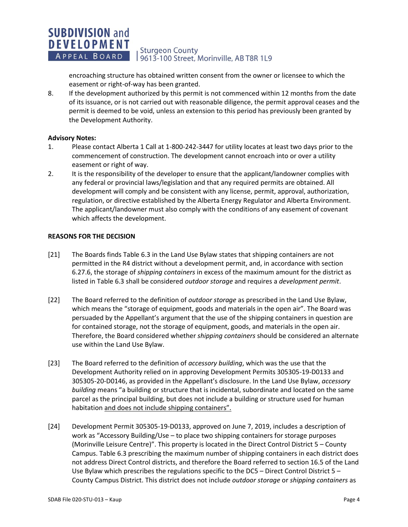#### **SUBDIVISION and DEVELOPMENT Sturgeon County** APPEAL BOARD 9613-100 Street, Morinville, AB T8R 1L9

encroaching structure has obtained written consent from the owner or licensee to which the easement or right-of-way has been granted.

8. If the development authorized by this permit is not commenced within 12 months from the date of its issuance, or is not carried out with reasonable diligence, the permit approval ceases and the permit is deemed to be void, unless an extension to this period has previously been granted by the Development Authority.

# **Advisory Notes:**

- 1. Please contact Alberta 1 Call at 1-800-242-3447 for utility locates at least two days prior to the commencement of construction. The development cannot encroach into or over a utility easement or right of way.
- 2. It is the responsibility of the developer to ensure that the applicant/landowner complies with any federal or provincial laws/legislation and that any required permits are obtained. All development will comply and be consistent with any license, permit, approval, authorization, regulation, or directive established by the Alberta Energy Regulator and Alberta Environment. The applicant/landowner must also comply with the conditions of any easement of covenant which affects the development.

# **REASONS FOR THE DECISION**

- [21] The Boards finds Table 6.3 in the Land Use Bylaw states that shipping containers are not permitted in the R4 district without a development permit, and, in accordance with section 6.27.6, the storage of *shipping containers* in excess of the maximum amount for the district as listed in Table 6.3 shall be considered *outdoor storage* and requires a *development permit*.
- [22] The Board referred to the definition of *outdoor storage* as prescribed in the Land Use Bylaw, which means the "storage of equipment, goods and materials in the open air". The Board was persuaded by the Appellant's argument that the use of the shipping containers in question are for contained storage, not the storage of equipment, goods, and materials in the open air. Therefore, the Board considered whether *shipping containers* should be considered an alternate use within the Land Use Bylaw.
- [23] The Board referred to the definition of *accessory building*, which was the use that the Development Authority relied on in approving Development Permits 305305-19-D0133 and 305305-20-D0146, as provided in the Appellant's disclosure. In the Land Use Bylaw, *accessory building* means "a building or structure that is incidental, subordinate and located on the same parcel as the principal building, but does not include a building or structure used for human habitation and does not include shipping containers".
- [24] Development Permit 305305-19-D0133, approved on June 7, 2019, includes a description of work as "Accessory Building/Use – to place two shipping containers for storage purposes (Morinville Leisure Centre)". This property is located in the Direct Control District 5 – County Campus. Table 6.3 prescribing the maximum number of shipping containers in each district does not address Direct Control districts, and therefore the Board referred to section 16.5 of the Land Use Bylaw which prescribes the regulations specific to the DC5 – Direct Control District 5 – County Campus District. This district does not include *outdoor storage* or *shipping containers* as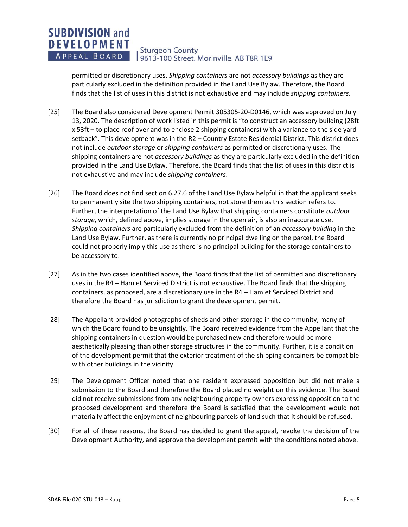#### **SUBDIVISION and DEVELOPMENT Sturgeon County** APPEAL BOARD 9613-100 Street, Morinville, AB T8R 1L9

permitted or discretionary uses. *Shipping containers* are not *accessory buildings* as they are particularly excluded in the definition provided in the Land Use Bylaw. Therefore, the Board finds that the list of uses in this district is not exhaustive and may include *shipping containers*.

- [25] The Board also considered Development Permit 305305-20-D0146, which was approved on July 13, 2020. The description of work listed in this permit is "to construct an accessory building (28ft x 53ft – to place roof over and to enclose 2 shipping containers) with a variance to the side yard setback". This development was in the R2 – Country Estate Residential District. This district does not include *outdoor storage* or *shipping containers* as permitted or discretionary uses. The shipping containers are not *accessory buildings* as they are particularly excluded in the definition provided in the Land Use Bylaw. Therefore, the Board finds that the list of uses in this district is not exhaustive and may include *shipping containers*.
- [26] The Board does not find section 6.27.6 of the Land Use Bylaw helpful in that the applicant seeks to permanently site the two shipping containers, not store them as this section refers to. Further, the interpretation of the Land Use Bylaw that shipping containers constitute *outdoor storage*, which, defined above, implies storage in the open air, is also an inaccurate use. *Shipping containers* are particularly excluded from the definition of an *accessory building* in the Land Use Bylaw. Further, as there is currently no principal dwelling on the parcel, the Board could not properly imply this use as there is no principal building for the storage containers to be accessory to.
- [27] As in the two cases identified above, the Board finds that the list of permitted and discretionary uses in the R4 – Hamlet Serviced District is not exhaustive. The Board finds that the shipping containers, as proposed, are a discretionary use in the R4 – Hamlet Serviced District and therefore the Board has jurisdiction to grant the development permit.
- [28] The Appellant provided photographs of sheds and other storage in the community, many of which the Board found to be unsightly. The Board received evidence from the Appellant that the shipping containers in question would be purchased new and therefore would be more aesthetically pleasing than other storage structures in the community. Further, it is a condition of the development permit that the exterior treatment of the shipping containers be compatible with other buildings in the vicinity.
- [29] The Development Officer noted that one resident expressed opposition but did not make a submission to the Board and therefore the Board placed no weight on this evidence. The Board did not receive submissions from any neighbouring property owners expressing opposition to the proposed development and therefore the Board is satisfied that the development would not materially affect the enjoyment of neighbouring parcels of land such that it should be refused.
- [30] For all of these reasons, the Board has decided to grant the appeal, revoke the decision of the Development Authority, and approve the development permit with the conditions noted above.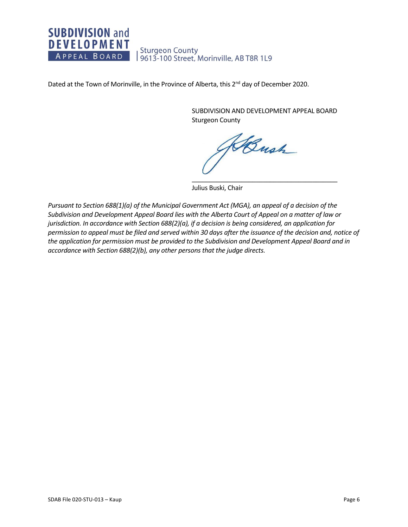# **SUBDIVISION and DEVELOPMENT** Sturgeon County<br>| 9613-100 Street, Morinville, AB T8R 1L9 APPEAL BOARD

Dated at the Town of Morinville, in the Province of Alberta, this 2<sup>nd</sup> day of December 2020.

SUBDIVISION AND DEVELOPMENT APPEAL BOARD Sturgeon County

Bush \_\_\_\_\_\_\_\_\_\_\_\_\_\_\_\_\_\_\_\_\_\_\_\_\_\_\_\_\_\_\_\_\_\_\_\_\_\_\_\_\_

Julius Buski, Chair

*Pursuant to Section 688(1)(a) of the Municipal Government Act (MGA), an appeal of a decision of the Subdivision and Development Appeal Board lies with the Alberta Court of Appeal on a matter of law or jurisdiction. In accordance with Section 688(2)(a), if a decision is being considered, an application for permission to appeal must be filed and served within 30 days after the issuance of the decision and, notice of the application for permission must be provided to the Subdivision and Development Appeal Board and in accordance with Section 688(2)(b), any other persons that the judge directs.*